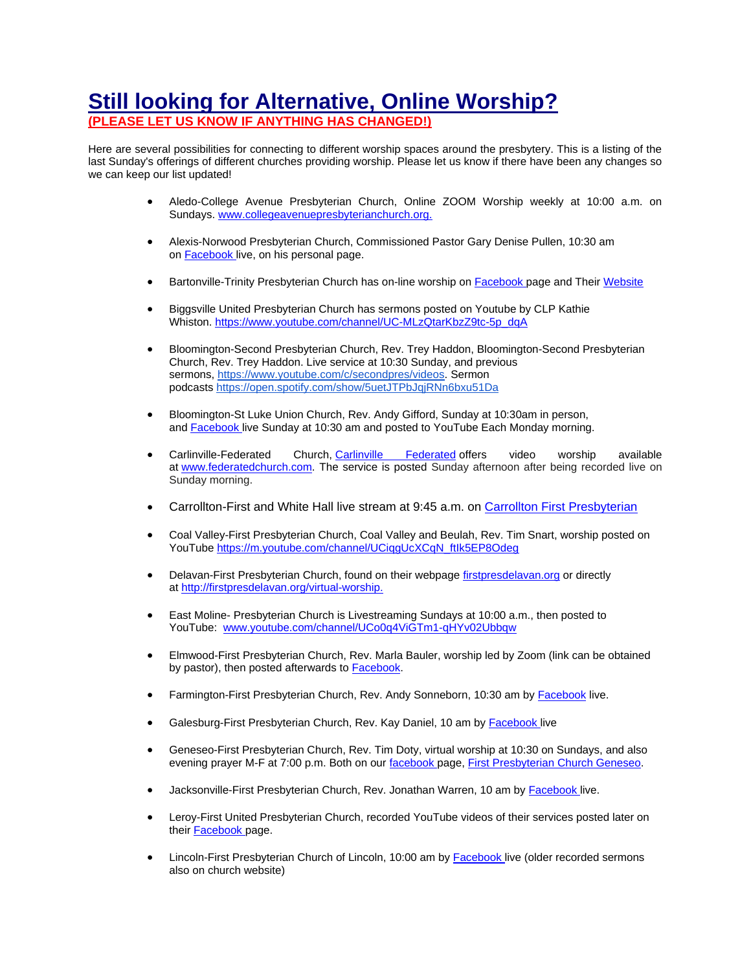## **Still looking for Alternative, Online Worship?**

## **(PLEASE LET US KNOW IF ANYTHING HAS CHANGED!)**

Here are several possibilities for connecting to different worship spaces around the presbytery. This is a listing of the last Sunday's offerings of different churches providing worship. Please let us know if there have been any changes so we can keep our list updated!

- Aledo-College Avenue Presbyterian Church, Online ZOOM Worship weekly at 10:00 a.m. on Sundays. [www.collegeavenuepresbyterianchurch.org.](http://www.collegeavenuepresbyterianchurch.org/)
- Alexis-Norwood Presbyterian Church, Commissioned Pastor Gary Denise Pullen, 10:30 am on [Facebook](https://www.facebook.com/The-Norwood-Presbyterian-Church-273681046527373/) live, on his personal page.
- Bartonville-Trinity Presbyterian Church has on-line worship on [Facebook](https://www.facebook.com/BartonvilleIllinios/) page and Their [Website](http://www.trinitypresbych.net/)
- Biggsville United Presbyterian Church has sermons posted on Youtube by CLP Kathie Whiston. [https://www.youtube.com/channel/UC-MLzQtarKbzZ9tc-5p\\_dqA](https://www.youtube.com/channel/UC-MLzQtarKbzZ9tc-5p_dqA)
- Bloomington-Second Presbyterian Church, Rev. Trey Haddon, Bloomington-Second Presbyterian Church, Rev. Trey Haddon. Live service at 10:30 Sunday, and previous sermons, [https://www.youtube.com/c/secondpres/videos.](http://r20.rs6.net/tn.jsp?f=001x9UYzCtCDW2RfSBWgrkimxe9ogmhLVE8j-094W3HmrexljzpQKBXnGiWxcRn3Qzv9hNKVSDSZlPJl5RwsZ1fWivGsjfLvuGhE-FZsiXJFsatHRlUqRXPGViuW2unbtV9ION4aKYCUbWnynCTQVFtCIgtcy-KbvbeupiYZyrmyDZ0G_SPYnRJ7A==&c=qvSS7Kyb9gOnEiJWK4vc2ul0nMxBngfmgeg7vuDn3jETpUOEOHA4xQ==&ch=XEa02-1y33H4DDvC0gc9ZMnjxZOzNVrvE-o1G1pK6j5gOFeioVyVZw==) Sermon podcasts [https://open.spotify.com/show/5uetJTPbJqjRNn6bxu51Da](http://r20.rs6.net/tn.jsp?f=001x9UYzCtCDW2RfSBWgrkimxe9ogmhLVE8j-094W3HmrexljzpQKBXnGiWxcRn3QzvGDCeHYcluQcf270HQZS4xQ0AjbVFE8HP9eu-uRdhID_5WXdUHVEhxXCUY_f5HkvU97Vk6b06GJ1PRc7iT-JU6T53CKMxSxAirWMijVrjy3zkntmBoI6u6A==&c=qvSS7Kyb9gOnEiJWK4vc2ul0nMxBngfmgeg7vuDn3jETpUOEOHA4xQ==&ch=XEa02-1y33H4DDvC0gc9ZMnjxZOzNVrvE-o1G1pK6j5gOFeioVyVZw==)
- Bloomington-St Luke Union Church, Rev. Andy Gifford, Sunday at 10:30am in person, and [Facebook](https://www.facebook.com/stlukeunionchurch/) [li](https://www.facebook.com/stlukeunionchurch/)ve Sunday at 10:30 am and posted to YouTube Each Monday morning.
- Carlinville-Federated Church, [Carlinville Federated](mailto:federatedchurch@frontiernet.net) offers video worship available at [www.federatedchurch.com.](http://www.federatedchurch.com/) The service is posted Sunday afternoon after being recorded live on Sunday morning.
- Carrollton-First and White Hall live stream at 9:45 a.m. on [Carrollton First Presbyterian](https://www.facebook.com/FirstPresbyterianCarrollton/)
- Coal Valley-First Presbyterian Church, Coal Valley and Beulah, Rev. Tim Snart, worship posted on YouTube [https://m.youtube.com/channel/UCiqgUcXCqN\\_ftIk5EP8Odeg](https://m.youtube.com/channel/UCiqgUcXCqN_ftIk5EP8Odeg)
- Delavan-First Presbyterian Church, found on their webpage [firstpresdelavan.org](http://firstpresdelavan.org/) or directly at <http://firstpresdelavan.org/virtual-worship.>
- East Moline- Presbyterian Church is Livestreaming Sundays at 10:00 a.m., then posted to YouTube: [www.youtube.com/channel/UCo0q4ViGTm1-qHYv02Ubbqw](https://r20.rs6.net/tn.jsp?f=001ontCXjuisjm_k7IwZ_QJp1LpSq3UjS5vLaq2-KIlEZ2lQWSsCG-agnZtzSXSnymQysF2Xqv9PPzP1m6wUP1ECUq_6SZGtXj1USxxDBxoXEZBuM2Pa7_whebJfMmXQVb6nyiuVGNjtgMJbTPkSN69Qq9LfWVtHB4YLs-MRIvi_gZIdwVBkJVDNzRC1LiShs1x&c=JImIvaGYDdzTmGzdiP-D-IvdOTQkGf8y1WgvmfVyL3kmz2DvVdA69w==&ch=vqI-99wiOgzq6LgGZkMVtXdSN1iCfra9o_8m9cud4KVQLn9OFS7O0A==&jrc=1)
- Elmwood-First Presbyterian Church, Rev. Marla Bauler, worship led by Zoom (link can be obtained by pastor), then posted afterwards to [Facebook.](https://www.facebook.com/First-Presbyterian-Church-of-Elmwood-668769803261573/)
- Farmington-First Presbyterian Church, Rev. Andy Sonneborn, 10:30 am by [Facebook](https://www.facebook.com/FirstPresFarmington/) live.
- Galesburg-First Presbyterian Church, Rev. Kay Daniel, 10 am by [Facebook](https://www.facebook.com/fpcgalesburg/) live
- Geneseo-First Presbyterian Church, Rev. Tim Doty, virtual worship at 10:30 on Sundays, and also evening prayer M-F at 7:00 p.m. Both on our [facebook](https://www.facebook.com/geneseofpc/) page, [First Presbyterian Church Geneseo.](https://www.geneseofpc.org/)
- Jacksonville-First Presbyterian Church, Rev. Jonathan Warren, 10 am by Facebook live.
- Leroy-First United Presbyterian Church, recorded YouTube videos of their services posted later on their **[Facebook](https://www.facebook.com/firstpresjax/)** page.
- Lincoln-First Presbyterian Church of Lincoln, 10:00 am by [Facebook](https://www.facebook.com/First-Presbyterian-Church-of-Lincoln-Illinois-133194312661/) live (older recorded sermons also on church website)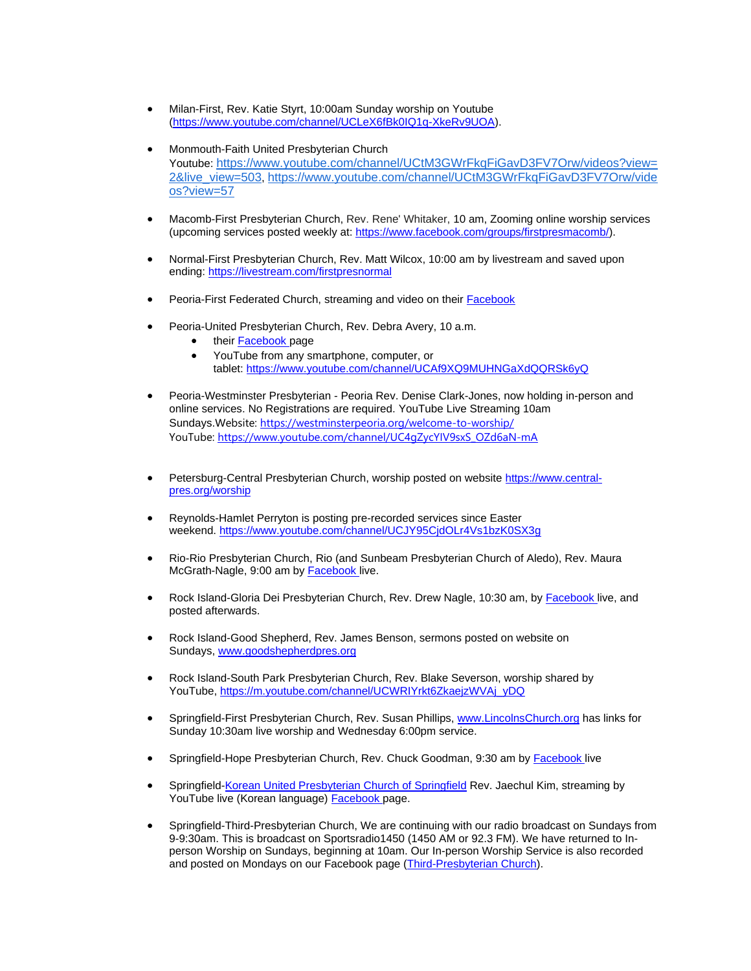- Milan-First, Rev. Katie Styrt, 10:00am Sunday worship on Youtube [\(https://www.youtube.com/channel/UCLeX6fBk0IQ1q-XkeRv9UOA\)](https://www.youtube.com/channel/UCLeX6fBk0IQ1q-XkeRv9UOA).
- Monmouth-Faith United Presbyterian Church Youtube: [https://www.youtube.com/channel/UCtM3GWrFkqFiGavD3FV7Orw/videos?view=](https://www.youtube.com/channel/UCtM3GWrFkqFiGavD3FV7Orw/videos?view=2&live_view=503) [2&live\\_view=503](https://www.youtube.com/channel/UCtM3GWrFkqFiGavD3FV7Orw/videos?view=2&live_view=503), [https://www.youtube.com/channel/UCtM3GWrFkqFiGavD3FV7Orw/vide](https://www.youtube.com/channel/UCtM3GWrFkqFiGavD3FV7Orw/videos?view=57) [os?view=57](https://www.youtube.com/channel/UCtM3GWrFkqFiGavD3FV7Orw/videos?view=57)
- Macomb-First Presbyterian Church, Rev. Rene' Whitaker, 10 am, Zooming online worship services (upcoming services posted weekly at: [https://www.facebook.com/groups/firstpresmacomb/\)](https://www.facebook.com/groups/firstpresmacomb/).
- Normal-First Presbyterian Church, Rev. Matt Wilcox, 10:00 am by livestream and saved upon ending: <https://livestream.com/firstpresnormal>
- Peoria-First Federated Church, streaming and video on their [Facebook](https://www.facebook.com/FirstFederatedChurchPeoria/)
- Peoria-United Presbyterian Church, Rev. Debra Avery, 10 a.m.
	- their [Facebook](https://www.facebook.com/upcpeoria/?__tn__=%2Cd%2CP-R&eid=ARBBMYoDyEgfYqk9SGAMWbND8-9mgLK6Kq3tnxsaF8SIV72uhhVvADP-6lYvpB0C7W1bvCMznGC6On9n) page
	- YouTube from any smartphone, computer, or tablet: <https://www.youtube.com/channel/UCAf9XQ9MUHNGaXdQQRSk6yQ>
- Peoria-Westminster Presbyterian Peoria Rev. Denise Clark-Jones, now holding in-person and online services. No Registrations are required. YouTube Live Streaming 10am Sundays. Website: <https://westminsterpeoria.org/welcome-to-worship/> YouTube: [https://www.youtube.com/channel/UC4gZycYIV9sxS\\_OZd6aN-mA](https://www.youtube.com/channel/UC4gZycYIV9sxS_OZd6aN-mA)
- Petersburg-Central Presbyterian Church, worship posted on website [https://www.central](https://www.central-pres.org/worship)[pres.org/worship](https://www.central-pres.org/worship)
- Reynolds-Hamlet Perryton is posting pre-recorded services since Easter weekend. <https://www.youtube.com/channel/UCJY95CjdOLr4Vs1bzK0SX3g>
- Rio-Rio Presbyterian Church, Rio (and Sunbeam Presbyterian Church of Aledo), Rev. Maura McGrath-Nagle, 9:00 am by [Facebook](https://www.facebook.com/RioPresbyterianChurch/) live.
- Rock Island-Gloria Dei Presbyterian Church, Rev. Drew Nagle, 10:30 am, by [Facebook](https://www.facebook.com/GloriaDeiPresbyterian/) live, and posted afterwards.
- Rock Island-Good Shepherd, Rev. James Benson, sermons posted on website on Sundays, [www.goodshepherdpres.org](http://www.goodshepherdpres.org/)
- Rock Island-South Park Presbyterian Church, Rev. Blake Severson, worship shared by YouTube, [https://m.youtube.com/channel/UCWRIYrkt6ZkaejzWVAj\\_yDQ](https://m.youtube.com/channel/UCWRIYrkt6ZkaejzWVAj_yDQ)
- Springfield-First Presbyterian Church, Rev. Susan Phillips, [www.LincolnsChurch.org](http://www.lincolnschurch.org/) has links for Sunday 10:30am live worship and Wednesday 6:00pm service.
- Springfield-Hope Presbyterian Church, Rev. Chuck Goodman, 9:30 am by [Facebook](https://www.facebook.com/iSPIHOPE/) live
- Springfield[-Korean United Presbyterian Church of Springfield](http://www.kupcs.org/) Rev. Jaechul Kim, streaming by YouTube live (Korean language) [Facebook](https://www.facebook.com/pages/Korean-United-Presbyterian-Church-of-Springfield/121226561224815) page.
- Springfield-Third-Presbyterian Church, We are continuing with our radio broadcast on Sundays from 9-9:30am. This is broadcast on Sportsradio1450 (1450 AM or 92.3 FM). We have returned to Inperson Worship on Sundays, beginning at 10am. Our In-person Worship Service is also recorded and posted on Mondays on our Facebook page [\(Third-Presbyterian Church\)](http://r20.rs6.net/tn.jsp?f=001ev7kLvCQjncOCty7zQlEqwB7vpopXBCGbcRaIOJvPyWSI0eSLTL5vk84-q2H23ZL0YEfA2xGonirI8stQT4LuYWYyZXpBsjNa05dCLBZCtorCeCLcKGWP1qXwS-jRJ62War8xANsY9-N_c3ok8Anr1wf_gCd1AxnNRoU5TtFMYw=&c=OjekbxqU60kSVi8YIxvpWOLKmxo3Ak9LECQ1eujCUohJJ9B1LhENgQ==&ch=S6KQrzNR7D2ozfbyVBo-bFnqKJQukZEb3LCjBE70BjiSsw01ZlmVug==).